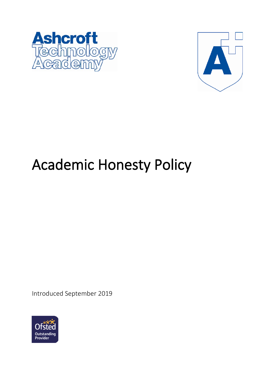



# Academic Honesty Policy

Introduced September 2019

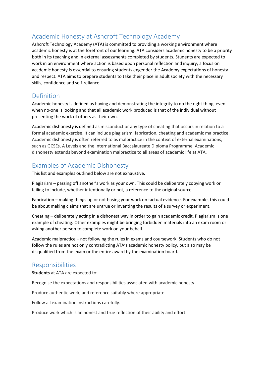# Academic Honesty at Ashcroft Technology Academy

Ashcroft Technology Academy (ATA) is committed to providing a working environment where academic honesty is at the forefront of our learning. ATA considers academic honesty to be a priority both in its teaching and in external assessments completed by students. Students are expected to work in an environment where action is based upon personal reflection and inquiry; a focus on academic honesty is essential to ensuring students engender the Academy expectations of honesty and respect. ATA aims to prepare students to take their place in adult society with the necessary skills, confidence and self-reliance.

# Definition

Academic honesty is defined as having and demonstrating the integrity to do the right thing, even when no-one is looking and that all academic work produced is that of the individual without presenting the work of others as their own.

Academic dishonesty is defined as misconduct or any type of cheating that occurs in relation to a formal academic exercise. It can include plagiarism, fabrication, cheating and academic malpractice. Academic dishonesty is often referred to as malpractice in the context of external examinations, such as GCSEs, A Levels and the International Baccalaureate Diploma Programme. Academic dishonesty extends beyond examination malpractice to all areas of academic life at ATA.

# Examples of Academic Dishonesty

This list and examples outlined below are not exhaustive.

Plagiarism – passing off another's work as your own. This could be deliberately copying work or failing to include, whether intentionally or not, a reference to the original source.

Fabrication – making things up or not basing your work on factual evidence. For example, this could be about making claims that are untrue or inventing the results of a survey or experiment.

Cheating – deliberately acting in a dishonest way in order to gain academic credit. Plagiarism is one example of cheating. Other examples might be bringing forbidden materials into an exam room or asking another person to complete work on your behalf.

Academic malpractice – not following the rules in exams and coursework. Students who do not follow the rules are not only contradicting ATA's academic honesty policy, but also may be disqualified from the exam or the entire award by the examination board.

## Responsibilities

#### **Students** at ATA are expected to:

Recognise the expectations and responsibilities associated with academic honesty.

Produce authentic work, and reference suitably where appropriate.

Follow all examination instructions carefully.

Produce work which is an honest and true reflection of their ability and effort.